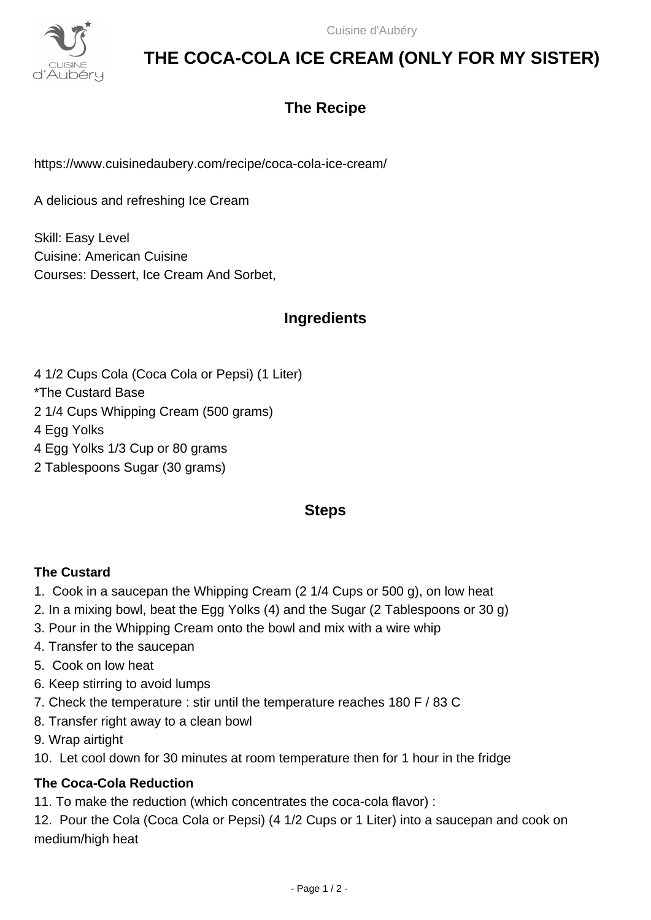

# **THE COCA-COLA ICE CREAM (ONLY FOR MY SISTER)**

## **The Recipe**

https://www.cuisinedaubery.com/recipe/coca-cola-ice-cream/

A delicious and refreshing Ice Cream

Skill: Easy Level Cuisine: American Cuisine Courses: Dessert, Ice Cream And Sorbet,

### **Ingredients**

- 4 1/2 Cups Cola (Coca Cola or Pepsi) (1 Liter)
- \*The Custard Base
- 2 1/4 Cups Whipping Cream (500 grams)
- 4 Egg Yolks
- 4 Egg Yolks 1/3 Cup or 80 grams
- 2 Tablespoons Sugar (30 grams)

#### **Steps**

#### **The Custard**

- 1. Cook in a saucepan the Whipping Cream (2 1/4 Cups or 500 g), on low heat
- 2. In a mixing bowl, beat the Egg Yolks (4) and the Sugar (2 Tablespoons or 30 g)
- 3. Pour in the Whipping Cream onto the bowl and mix with a wire whip
- 4. Transfer to the saucepan
- 5. Cook on low heat
- 6. Keep stirring to avoid lumps
- 7. Check the temperature : stir until the temperature reaches 180 F / 83 C
- 8. Transfer right away to a clean bowl
- 9. Wrap airtight
- 10. Let cool down for 30 minutes at room temperature then for 1 hour in the fridge

### **The Coca-Cola Reduction**

11. To make the reduction (which concentrates the coca-cola flavor) :

12. Pour the Cola (Coca Cola or Pepsi) (4 1/2 Cups or 1 Liter) into a saucepan and cook on medium/high heat